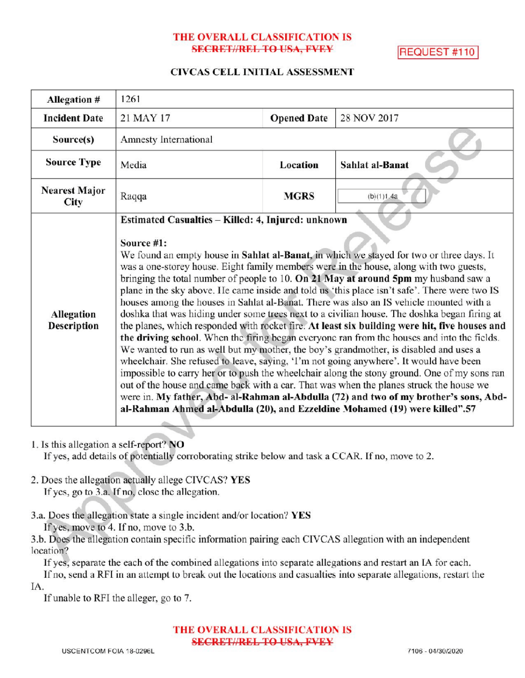# THE OVERALL CLASSIFICATION IS SECRET//REL TO USA, FVEY REQUEST #110

#### CIVCAS CELL INITIAL ASSESSMENT

| Allegation #                     | 1261                                                                                                                                                                                                                                                                                                                                                                                                                                                                                                                                                                                                                                                                                                                                                                                                                                                                                                                                                                                                                                                                                                                                                                                                                                                                                                                                                                                            |                    |                 |
|----------------------------------|-------------------------------------------------------------------------------------------------------------------------------------------------------------------------------------------------------------------------------------------------------------------------------------------------------------------------------------------------------------------------------------------------------------------------------------------------------------------------------------------------------------------------------------------------------------------------------------------------------------------------------------------------------------------------------------------------------------------------------------------------------------------------------------------------------------------------------------------------------------------------------------------------------------------------------------------------------------------------------------------------------------------------------------------------------------------------------------------------------------------------------------------------------------------------------------------------------------------------------------------------------------------------------------------------------------------------------------------------------------------------------------------------|--------------------|-----------------|
| <b>Incident Date</b>             | 21 MAY 17                                                                                                                                                                                                                                                                                                                                                                                                                                                                                                                                                                                                                                                                                                                                                                                                                                                                                                                                                                                                                                                                                                                                                                                                                                                                                                                                                                                       | <b>Opened Date</b> | 28 NOV 2017     |
| Source(s)                        | Amnesty International                                                                                                                                                                                                                                                                                                                                                                                                                                                                                                                                                                                                                                                                                                                                                                                                                                                                                                                                                                                                                                                                                                                                                                                                                                                                                                                                                                           |                    |                 |
| <b>Source Type</b>               | Media                                                                                                                                                                                                                                                                                                                                                                                                                                                                                                                                                                                                                                                                                                                                                                                                                                                                                                                                                                                                                                                                                                                                                                                                                                                                                                                                                                                           | Location           | Sahlat al-Banat |
| <b>Nearest Major</b><br>City     | Raqqa                                                                                                                                                                                                                                                                                                                                                                                                                                                                                                                                                                                                                                                                                                                                                                                                                                                                                                                                                                                                                                                                                                                                                                                                                                                                                                                                                                                           | <b>MGRS</b>        | (b)(1)1.4a      |
| <b>Allegation</b><br>Description | Estimated Casualties - Killed: 4, Injured: unknown<br>Source #1:<br>We found an empty house in Sahlat al-Banat, in which we stayed for two or three days. It<br>was a one-storey house. Eight family members were in the house, along with two guests,<br>bringing the total number of people to 10. On 21 May at around 5pm my husband saw a<br>plane in the sky above. He came inside and told us 'this place isn't safe'. There were two IS<br>houses among the houses in Sahlat al-Banat. There was also an IS vehicle mounted with a<br>doshka that was hiding under some trees next to a civilian house. The doshka began firing at<br>the planes, which responded with rocket fire. At least six building were hit, five houses and<br>the driving school. When the firing began everyone ran from the houses and into the fields.<br>We wanted to run as well but my mother, the boy's grandmother, is disabled and uses a<br>wheelchair. She refused to leave, saying, 'I'm not going anywhere'. It would have been<br>impossible to carry her or to push the wheelchair along the stony ground. One of my sons ran<br>out of the house and came back with a car. That was when the planes struck the house we<br>were in. My father, Abd- al-Rahman al-Abdulla (72) and two of my brother's sons, Abd-<br>al-Rahman Ahmed al-Abdulla (20), and Ezzeldine Mohamed (19) were killed".57 |                    |                 |

- 1. Is this allegation a self-report? NO If yes, add details of potentially corroborating strike below and task a CCAR. If no, move to 2.
- 2. Does the allegation actually allege CIVCAS? YES If yes, go to 3.a. If no, close the allegation.
- 3.a. Does the allegation state a single incident and/or location? YES If yes, move to 4. If no, move to 3.b.

3.b. Does the allegation contain specific information pairing each CIVCAS allegation with an independent location?

If yes, separate the each of the combined allegations into separate allegations and restart an IA for each. If no, send a RFI in an attempt to break out the locations and casualties into separate allegations, restart the IA

If unable to RFI the alleger, go to 7.

THE OVERALL CLASSIFICATION IS **SECRET//REL TO USA, FVEY**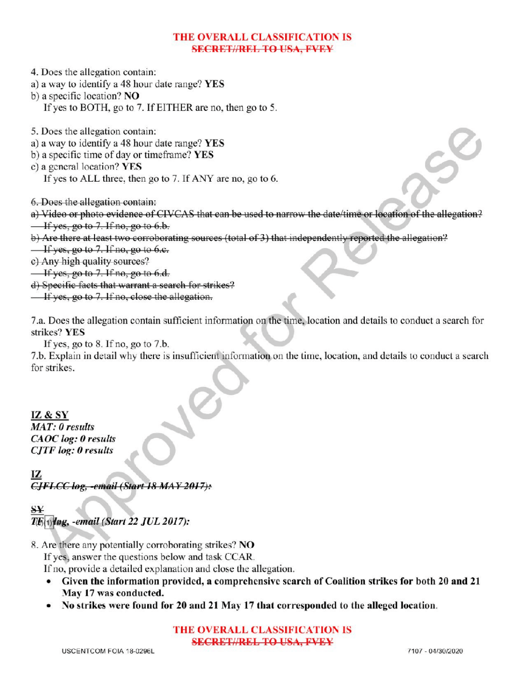## THE OVERALL CLASSIFICATION IS **SECRET//REL TO USA, FVEY**

4. Does the allegation contain:

- a) <sup>a</sup> way to identify a 48 hour date range? YES
- b) a specific location? NO
	- If yes to BOTH, go to 7. If EITHER are no, then go to 5.
- 5. Does the allegation contain :
- a) <sup>a</sup> way to identify a 48 hour date range? YES
- b) a specific time of day or timeframe? YES
- c) a general location? YES
	- If yes to ALL three, then go to 7. If ANY are no, go to 6.

6. Does the allegation contain:

- a) Video or photo evidence of CIVCAS that can be used to narrow the date/time or location of the allegation?  $\frac{1}{1}$  If yes, go to 7. If no, go to 6.b.
- b) Are there at least two corroborating sources (total of 3) that independently reported the allegation?
- $\frac{1}{1}$  if yes, go to 7. If no, go to 6.c.
- c) Any high quality sources?

 $\frac{1}{1}$  If yes, go to 7. If no, go to 6.d.

- d) Specific facts that warrant a search for strikes?
- $\overline{\phantom{a}}$  If yes, go to 7. If no, close the allegation.

7.a. Does the allegation contain sufficient information on the time, location and details to conduct a search for strikes? YES

If yes, go to  $8$ . If no, go to  $7.b$ .

7.b. Explain in detail why there is insufficient information on the time, location, and details to conduct a search for strikes

IZ& SY

MAT: 0 results CAOC log: 0 results CJTF log: 0 results

CJFLCC log, -email (Start 18 MAY 2017):

## $S Y$  $T\mathbb{F}_{(1)}$ løg, -email (Start 22 JUL 2017):

8. Are there any potentially corroborating strikes? NO

If yes, answer the questions below and task CCAR.

Ifno, provide <sup>a</sup> detailed explanation and close the allegation.

- Given the information provided, a comprehensive search of Coalition strikes for both 20 and 21 May 17 was conducted.
- No strikes were found for 20 and 21 May 17 that corresponded to the alleged location.

## THE OVERALL CLASSIFICATION IS SECRET//REL TO USA, FVEY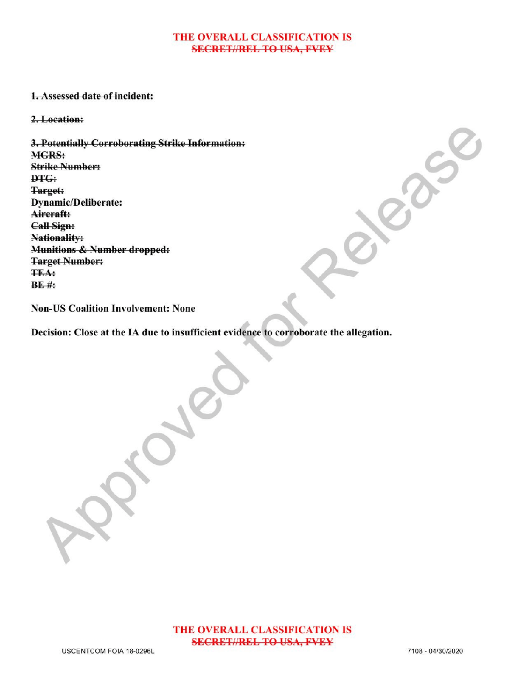#### THE OVERALL CLASSIFICATION IS **SECRET//REL TO USA, FVEY**

## 1. Assessed date of incident:

#### 2.Location:

3.Potentially Corroborating Strike Information: **MGRS:** Strike Number: DTG: Target: **Dynamic/Deliberate:** Aircraft: Call Sign: Nationality: Munitions & Number dropped: **Target Number:** TEA :  $BE$ #:

Non-US Coalition Involvement: None

Decision: Close at the IA due to insufficient evidence to corroborate the allegation.

Approved

Release